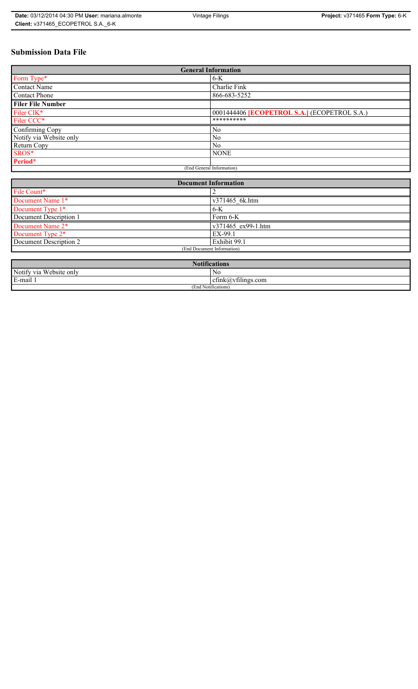## **Submission Data File**

| <b>General Information</b> |                                                     |
|----------------------------|-----------------------------------------------------|
| Form Type*                 | $6-K$                                               |
| <b>Contact Name</b>        | Charlie Fink                                        |
| <b>Contact Phone</b>       | 866-683-5252                                        |
| <b>Filer File Number</b>   |                                                     |
| Filer CIK*                 | 0001444406 <b>[ECOPETROL S.A.]</b> (ECOPETROL S.A.) |
| Filer CCC*                 | **********                                          |
| Confirming Copy            | N <sub>0</sub>                                      |
| Notify via Website only    | N <sub>0</sub>                                      |
| Return Copy                | No.                                                 |
| SROS*                      | <b>NONE</b>                                         |
| Period*                    |                                                     |
| (End General Information)  |                                                     |

| <b>Document Information</b>  |                    |
|------------------------------|--------------------|
| File Count*                  |                    |
| Document Name 1*             | v371465 6k.htm     |
| Document Type 1*             | $6-K$              |
| Document Description 1       | Form 6-K           |
| Document Name 2*             | v371465 ex99-1.htm |
| Document Type 2 <sup>*</sup> | EX-99.1            |
| Document Description 2       | Exhibit 99.1       |
| (End Document Information)   |                    |
|                              |                    |

| <b>Notifications</b>         |                                   |
|------------------------------|-----------------------------------|
| Notify via<br>ı Website onlv | N0                                |
| E-mail 1                     | $\sim$ 1.<br>ctink(a)vtilings.com |
| (End Notifications)          |                                   |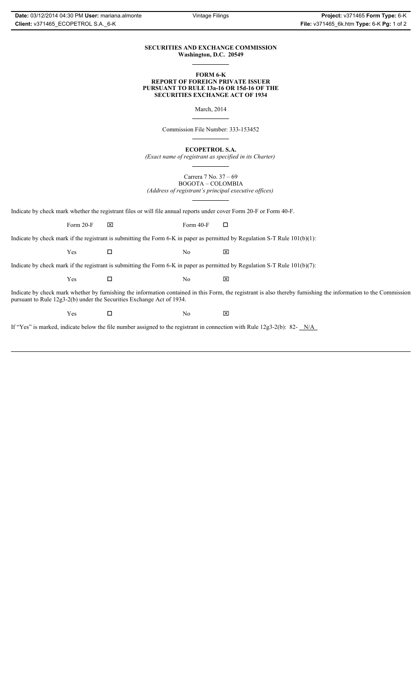## **SECURITIES AND EXCHANGE COMMISSION Washington, D.C. 20549**

## **FORM 6-K REPORT OF FOREIGN PRIVATE ISSUER PURSUANT TO RULE 13a-16 OR 15d-16 OF THE SECURITIES EXCHANGE ACT OF 1934**

March, 2014

Commission File Number: 333-153452

**ECOPETROL S.A.**

*(Exact name of registrant as specified in its Charter)*

Carrera 7 No. 37 – 69 BOGOTA – COLOMBIA *(Address of registrant's principal executive offices)*

Indicate by check mark whether the registrant files or will file annual reports under cover Form 20-F or Form 40-F.

Form 20-F  $\boxtimes$  Form 40-F  $\Box$ 

Indicate by check mark if the registrant is submitting the Form 6-K in paper as permitted by Regulation S-T Rule 101(b)(1):

 $Yes$   $\Box$  No  $X$ 

Indicate by check mark if the registrant is submitting the Form 6-K in paper as permitted by Regulation S-T Rule 101(b)(7):

 $Yes$   $\Box$  No  $X$ 

Indicate by check mark whether by furnishing the information contained in this Form, the registrant is also thereby furnishing the information to the Commission pursuant to Rule 12g3-2(b) under the Securities Exchange Act of 1934.

 $Yes$   $\Box$  No  $X$ 

If "Yes" is marked, indicate below the file number assigned to the registrant in connection with Rule 12g3-2(b): 82- N/A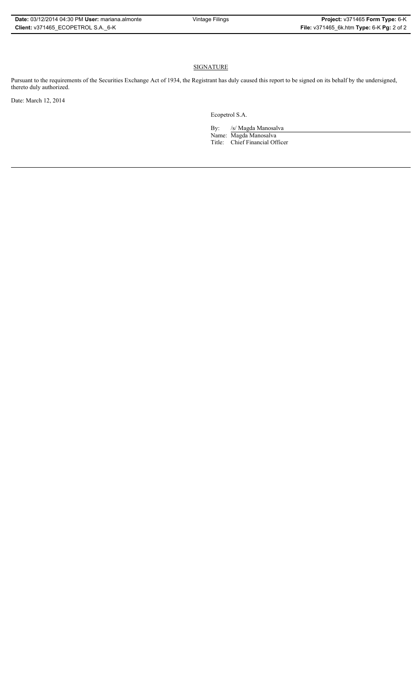## **SIGNATURE**

Pursuant to the requirements of the Securities Exchange Act of 1934, the Registrant has duly caused this report to be signed on its behalf by the undersigned, thereto duly authorized.

Date: March 12, 2014

Ecopetrol S.A.

By: /s/ Magda Manosalva Name: Magda Manosalva Title: Chief Financial Officer